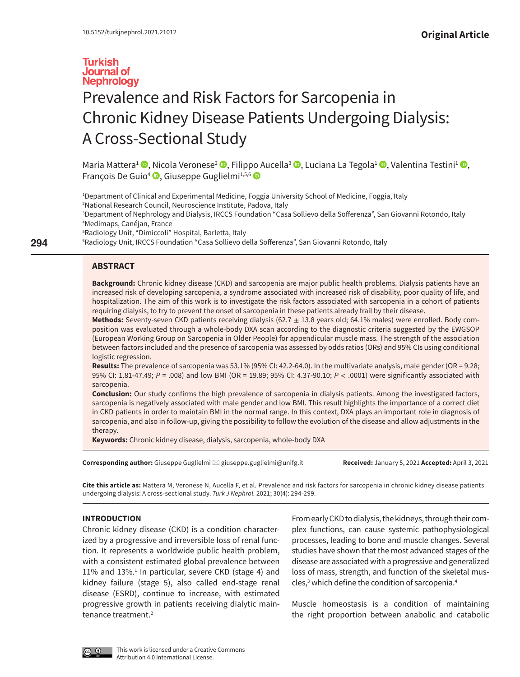# **Turkish Journal of Nephrology** Prevalence and Risk Factors for Sarcopenia in Chronic Kidney Disease Patients Undergoing Dialysis: A Cross-Sectional Study

Maria Mattera<sup>1</sup> <sup>(D</sup>[,](https://orcid.org/0000-0003-1027-7049) [Ni](https://orcid.org/0000-0003-1809-4175)cola Veronese<sup>2</sup> <sup>(D</sup>, Filip[po](http://orcid.org/0000-0002-4325-8330) Aucella<sup>3</sup> <sup>(D</sup>, Luciana La Tegola<sup>1</sup> (D, Valentina Testini<sup>1</sup> (D, François De Guio<sup>4</sup> <sup>D</sup>, Giuseppe Guglielmi<sup>1,5,6</sup> D

 Department of Clinical and Experimental Medicine, Foggia University School of Medicine, Foggia, Italy National Research Council, Neuroscience Institute, Padova, Italy Department of Nephrology and Dialysis, IRCCS Foundation "Casa Sollievo della Sofferenza", San Giovanni Rotondo, Italy Medimaps, Canéjan, France Radiology Unit, "Dimiccoli" Hospital, Barletta, Italy

6 Radiology Unit, IRCCS Foundation "Casa Sollievo della Sofferenza", San Giovanni Rotondo, Italy

## **ABSTRACT**

**Background:** Chronic kidney disease (CKD) and sarcopenia are major public health problems. Dialysis patients have an increased risk of developing sarcopenia, a syndrome associated with increased risk of disability, poor quality of life, and hospitalization. The aim of this work is to investigate the risk factors associated with sarcopenia in a cohort of patients requiring dialysis, to try to prevent the onset of sarcopenia in these patients already frail by their disease.

**Methods:** Seventy-seven CKD patients receiving dialysis (62.7 ± 13.8 years old; 64.1% males) were enrolled. Body composition was evaluated through a whole-body DXA scan according to the diagnostic criteria suggested by the EWGSOP (European Working Group on Sarcopenia in Older People) for appendicular muscle mass. The strength of the association between factors included and the presence of sarcopenia was assessed by odds ratios (ORs) and 95% CIs using conditional logistic regression.

**Results:** The prevalence of sarcopenia was 53.1% (95% CI: 42.2-64.0). In the multivariate analysis, male gender (OR = 9.28; 95% CI: 1.81-47.49; *P* = .008) and low BMI (OR = 19.89; 95% CI: 4.37-90.10; *P* < .0001) were significantly associated with sarcopenia.

**Conclusion:** Our study confirms the high prevalence of sarcopenia in dialysis patients. Among the investigated factors, sarcopenia is negatively associated with male gender and low BMI. This result highlights the importance of a correct diet in CKD patients in order to maintain BMI in the normal range. In this context, DXA plays an important role in diagnosis of sarcopenia, and also in follow-up, giving the possibility to follow the evolution of the disease and allow adjustments in the therapy.

**Keywords:** Chronic kidney disease, dialysis, sarcopenia, whole-body DXA

**Corresponding author:** Giuseppe Guglielmi [giuseppe.guglielmi@unifg.it](mailto:giuseppe.guglielmi@unifg.it) **Received:** January 5, 2021 **Accepted:** April 3, 2021

**Cite this article as:** Mattera M, Veronese N, Aucella F, et al. Prevalence and risk factors for sarcopenia in chronic kidney disease patients undergoing dialysis: A cross-sectional study. *Turk J Nephrol.* 2021; 30(4): 294-299.

## **INTRODUCTION**

Chronic kidney disease (CKD) is a condition characterized by a progressive and irreversible loss of renal function. It represents a worldwide public health problem, with a consistent estimated global prevalence between 11% and 13%.<sup>1</sup> In particular, severe CKD (stage 4) and kidney failure (stage 5), also called end-stage renal disease (ESRD), continue to increase, with estimated progressive growth in patients receiving dialytic maintenance treatment.<sup>2</sup>

From early CKD to dialysis, the kidneys, through their complex functions, can cause systemic pathophysiological processes, leading to bone and muscle changes. Several studies have shown that the most advanced stages of the disease are associated with a progressive and generalized loss of mass, strength, and function of the skeletal muscles,<sup>3</sup> which define the condition of sarcopenia.<sup>4</sup>

Muscle homeostasis is a condition of maintaining the right proportion between anabolic and catabolic



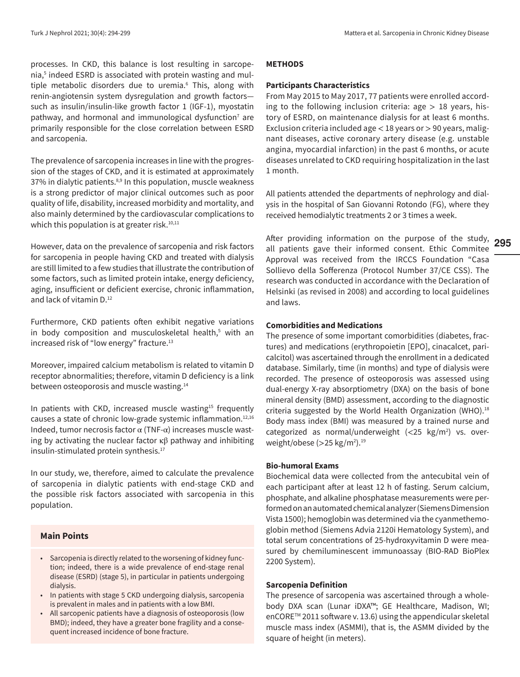processes. In CKD, this balance is lost resulting in sarcopenia,5 indeed ESRD is associated with protein wasting and multiple metabolic disorders due to uremia.<sup>6</sup> This, along with renin-angiotensin system dysregulation and growth factors such as insulin/insulin-like growth factor 1 (IGF-1), myostatin pathway, and hormonal and immunological dysfunction<sup>7</sup> are primarily responsible for the close correlation between ESRD and sarcopenia.

The prevalence of sarcopenia increases in line with the progression of the stages of CKD, and it is estimated at approximately 37% in dialytic patients.<sup>8,9</sup> In this population, muscle weakness is a strong predictor of major clinical outcomes such as poor quality of life, disability, increased morbidity and mortality, and also mainly determined by the cardiovascular complications to which this population is at greater risk. $10,11$ 

However, data on the prevalence of sarcopenia and risk factors for sarcopenia in people having CKD and treated with dialysis are still limited to a few studies that illustrate the contribution of some factors, such as limited protein intake, energy deficiency, aging, insufficient or deficient exercise, chronic inflammation, and lack of vitamin D.<sup>12</sup>

Furthermore, CKD patients often exhibit negative variations in body composition and musculoskeletal health,<sup>5</sup> with an increased risk of "low energy" fracture.<sup>13</sup>

Moreover, impaired calcium metabolism is related to vitamin D receptor abnormalities; therefore, vitamin D deficiency is a link between osteoporosis and muscle wasting.<sup>14</sup>

In patients with CKD, increased muscle wasting<sup>15</sup> frequently causes a state of chronic low-grade systemic inflammation.12,16 Indeed, tumor necrosis factor α (TNF-α) increases muscle wasting by activating the nuclear factor  $κβ$  pathway and inhibiting insulin-stimulated protein synthesis.17

In our study, we, therefore, aimed to calculate the prevalence of sarcopenia in dialytic patients with end-stage CKD and the possible risk factors associated with sarcopenia in this population.

# **Main Points**

- Sarcopenia is directly related to the worsening of kidney function; indeed, there is a wide prevalence of end-stage renal disease (ESRD) (stage 5), in particular in patients undergoing dialysis.
- In patients with stage 5 CKD undergoing dialysis, sarcopenia is prevalent in males and in patients with a low BMI.
- All sarcopenic patients have a diagnosis of osteoporosis (low BMD); indeed, they have a greater bone fragility and a consequent increased incidence of bone fracture.

#### **METHODS**

## **Participants Characteristics**

From May 2015 to May 2017, 77 patients were enrolled according to the following inclusion criteria:  $age > 18$  years, history of ESRD, on maintenance dialysis for at least 6 months. Exclusion criteria included age  $<$  18 years or  $>$  90 years, malignant diseases, active coronary artery disease (e.g. unstable angina, myocardial infarction) in the past 6 months, or acute diseases unrelated to CKD requiring hospitalization in the last 1 month.

All patients attended the departments of nephrology and dialysis in the hospital of San Giovanni Rotondo (FG), where they received hemodialytic treatments 2 or 3 times a week.

After providing information on the purpose of the study, all patients gave their informed consent. Ethic Commitee Approval was received from the IRCCS Foundation "Casa Sollievo della Sofferenza (Protocol Number 37/CE CSS). The research was conducted in accordance with the Declaration of Helsinki (as revised in 2008) and according to local guidelines and laws.

#### **Comorbidities and Medications**

The presence of some important comorbidities (diabetes, fractures) and medications (erythropoietin [EPO], cinacalcet, paricalcitol) was ascertained through the enrollment in a dedicated database. Similarly, time (in months) and type of dialysis were recorded. The presence of osteoporosis was assessed using dual-energy X-ray absorptiometry (DXA) on the basis of bone mineral density (BMD) assessment, according to the diagnostic criteria suggested by the World Health Organization (WHO).<sup>18</sup> Body mass index (BMI) was measured by a trained nurse and categorized as normal/underweight  $\left\langle \langle 25 \space kg/m^2 \rangle \right\}$  vs. overweight/obese (>25 kg/m2 ).19

## **Bio-humoral Exams**

Biochemical data were collected from the antecubital vein of each participant after at least 12 h of fasting. Serum calcium, phosphate, and alkaline phosphatase measurements were performed on an automated chemical analyzer (Siemens Dimension Vista 1500); hemoglobin was determined via the cyanmethemoglobin method (Siemens Advia 2120i Hematology System), and total serum concentrations of 25-hydroxyvitamin D were measured by chemiluminescent immunoassay (BIO-RAD BioPlex 2200 System).

## **Sarcopenia Definition**

The presence of sarcopenia was ascertained through a wholebody DXA scan (Lunar iDXA™; GE Healthcare, Madison, WI; enCORETM 2011 software v. 13.6) using the appendicular skeletal muscle mass index (ASMMI), that is, the ASMM divided by the square of height (in meters).

**295**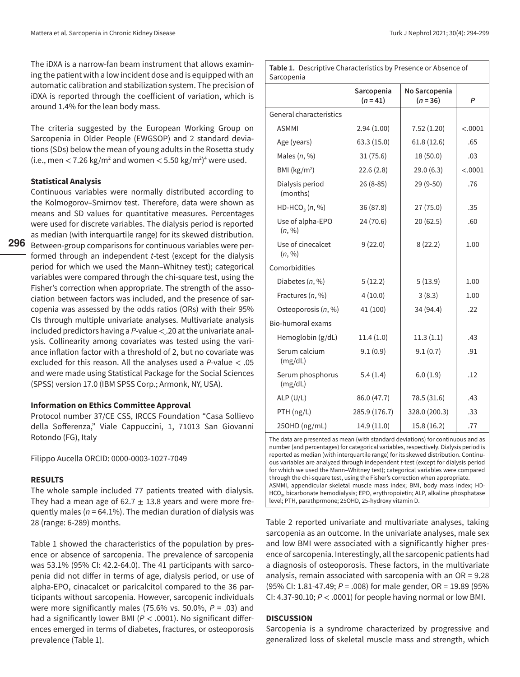The iDXA is a narrow-fan beam instrument that allows examining the patient with a low incident dose and is equipped with an automatic calibration and stabilization system. The precision of iDXA is reported through the coefficient of variation, which is around 1.4% for the lean body mass.

The criteria suggested by the European Working Group on Sarcopenia in Older People (EWGSOP) and 2 standard deviations (SDs) below the mean of young adults in the Rosetta study (i.e., men  $<$  7.26 kg/m<sup>2</sup> and women  $<$  5.50 kg/m<sup>2</sup>)<sup>4</sup> were used.

## **Statistical Analysis**

**296** Between-group comparisons for continuous variables were per-Continuous variables were normally distributed according to the Kolmogorov–Smirnov test. Therefore, data were shown as means and SD values for quantitative measures. Percentages were used for discrete variables. The dialysis period is reported as median (with interquartile range) for its skewed distribution. formed through an independent *t*-test (except for the dialysis period for which we used the Mann–Whitney test); categorical variables were compared through the chi-square test, using the Fisher's correction when appropriate. The strength of the association between factors was included, and the presence of sarcopenia was assessed by the odds ratios (ORs) with their 95% CIs through multiple univariate analyses. Multivariate analysis included predictors having a *P*-value < . 20 at the univariate analysis. Collinearity among covariates was tested using the variance inflation factor with a threshold of 2, but no covariate was excluded for this reason. All the analyses used a *P*-value < .05 and were made using Statistical Package for the Social Sciences (SPSS) version 17.0 (IBM SPSS Corp.; Armonk, NY, USA).

#### **Information on Ethics Committee Approval**

Protocol number 37/CE CSS, IRCCS Foundation "Casa Sollievo della Sofferenza," Viale Cappuccini, 1, 71013 San Giovanni Rotondo (FG), Italy

Filippo Aucella ORCID: 0000-0003-1027-7049

## **RESULTS**

The whole sample included 77 patients treated with dialysis. They had a mean age of 62.7  $\pm$  13.8 years and were more frequently males ( $n = 64.1\%$ ). The median duration of dialysis was 28 (range: 6-289) months.

Table 1 showed the characteristics of the population by presence or absence of sarcopenia. The prevalence of sarcopenia was 53.1% (95% CI: 42.2-64.0). The 41 participants with sarcopenia did not differ in terms of age, dialysis period, or use of alpha-EPO, cinacalcet or paricalcitol compared to the 36 participants without sarcopenia. However, sarcopenic individuals were more significantly males (75.6% vs. 50.0%, *P* = .03) and had a significantly lower BMI (*P* < .0001). No significant differences emerged in terms of diabetes, fractures, or osteoporosis prevalence (Table 1).

| <b>Table 1.</b> Descriptive Characteristics by Presence or Absence of |  |
|-----------------------------------------------------------------------|--|

| Sarcopenia                  |                          |                           |         |  |  |  |  |
|-----------------------------|--------------------------|---------------------------|---------|--|--|--|--|
|                             | Sarcopenia<br>$(n = 41)$ | No Sarcopenia<br>$(n=36)$ | P       |  |  |  |  |
| General characteristics     |                          |                           |         |  |  |  |  |
| <b>ASMMI</b>                | 2.94(1.00)               | 7.52(1.20)                | < .0001 |  |  |  |  |
| Age (years)                 | 63.3(15.0)               | 61.8(12.6)                | .65     |  |  |  |  |
| Males $(n, %)$              | 31(75.6)                 | 18 (50.0)                 | .03     |  |  |  |  |
| BMI ( $\text{kg/m}^2$ )     | 22.6(2.8)                | 29.0(6.3)                 | < .0001 |  |  |  |  |
| Dialysis period<br>(months) | $26(8-85)$               | 29 (9-50)                 | .76     |  |  |  |  |
| $HD-HCO3(n, %)$             | 36 (87.8)                | 27(75.0)                  | .35     |  |  |  |  |
| Use of alpha-EPO<br>(n, %)  | 24 (70.6)                | 20(62.5)                  | .60     |  |  |  |  |
| Use of cinecalcet<br>(n, %) | 9(22.0)                  | 8(22.2)                   | 1.00    |  |  |  |  |
| Comorbidities               |                          |                           |         |  |  |  |  |
| Diabetes $(n, %)$           | 5(12.2)                  | 5(13.9)                   | 1.00    |  |  |  |  |
| Fractures (n, %)            | 4(10.0)                  | 3(8.3)                    | 1.00    |  |  |  |  |
| Osteoporosis $(n, %)$       | 41 (100)                 | 34 (94.4)                 | .22     |  |  |  |  |
| Bio-humoral exams           |                          |                           |         |  |  |  |  |
| Hemoglobin (g/dL)           | 11.4(1.0)                | 11.3(1.1)                 | .43     |  |  |  |  |
| Serum calcium<br>(mg/dL)    | 9.1(0.9)                 | 9.1(0.7)                  | .91     |  |  |  |  |
| Serum phosphorus<br>(mg/dL) | 5.4(1.4)                 | 6.0(1.9)                  | .12     |  |  |  |  |
| ALP(U/L)                    | 86.0 (47.7)              | 78.5 (31.6)               | .43     |  |  |  |  |
| PTH (ng/L)                  | 285.9 (176.7)            | 328.0 (200.3)             | .33     |  |  |  |  |
| 25OHD (ng/mL)               | 14.9 (11.0)              | 15.8 (16.2)               | .77     |  |  |  |  |

The data are presented as mean (with standard deviations) for continuous and as number (and percentages) for categorical variables, respectively. Dialysis period is reported as median (with interquartile range) for its skewed distribution. Continuous variables are analyzed through independent *t*-test (except for dialysis period for which we used the Mann–Whitney test); categorical variables were compared through the chi-square test, using the Fisher's correction when appropriate. ASMMI, appendicular skeletal muscle mass index; BMI, body mass index; HD-HCO<sub>3</sub>, bicarbonate hemodialysis; EPO, erythropoietin; ALP, alkaline phosphatase level; PTH, parathprmone; 25OHD, 25-hydroxy vitamin D.

Table 2 reported univariate and multivariate analyses, taking sarcopenia as an outcome. In the univariate analyses, male sex and low BMI were associated with a significantly higher presence of sarcopenia. Interestingly, all the sarcopenic patients had a diagnosis of osteoporosis. These factors, in the multivariate analysis, remain associated with sarcopenia with an OR = 9.28 (95% CI: 1.81-47.49; *P* = .008) for male gender, OR = 19.89 (95% CI: 4.37-90.10; *P* < .0001) for people having normal or low BMI.

## **DISCUSSION**

Sarcopenia is a syndrome characterized by progressive and generalized loss of skeletal muscle mass and strength, which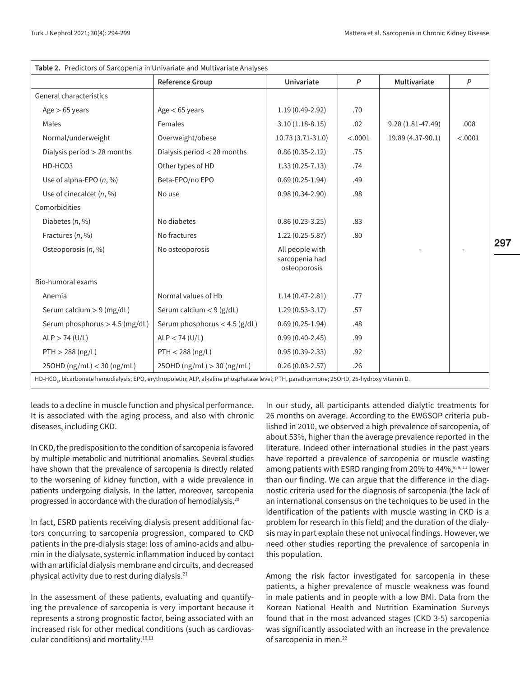| Table 2. Predictors of Sarcopenia in Univariate and Multivariate Analyses                                                                             |                                 |                                                   |              |                      |         |  |  |  |  |
|-------------------------------------------------------------------------------------------------------------------------------------------------------|---------------------------------|---------------------------------------------------|--------------|----------------------|---------|--|--|--|--|
|                                                                                                                                                       | <b>Reference Group</b>          | Univariate                                        | $\mathsf{P}$ | Multivariate         | P       |  |  |  |  |
| General characteristics                                                                                                                               |                                 |                                                   |              |                      |         |  |  |  |  |
| Age $>$ 65 years                                                                                                                                      | Age $<$ 65 years                | $1.19(0.49-2.92)$                                 | .70          |                      |         |  |  |  |  |
| Males                                                                                                                                                 | Females                         | $3.10(1.18-8.15)$                                 | .02          | $9.28(1.81 - 47.49)$ | .008    |  |  |  |  |
| Normal/underweight                                                                                                                                    | Overweight/obese                | 10.73 (3.71-31.0)                                 | < .0001      | 19.89 (4.37-90.1)    | < .0001 |  |  |  |  |
| Dialysis period > 28 months                                                                                                                           | Dialysis period < 28 months     | $0.86(0.35-2.12)$                                 | .75          |                      |         |  |  |  |  |
| HD-HCO3                                                                                                                                               | Other types of HD               | $1.33(0.25 - 7.13)$                               | .74          |                      |         |  |  |  |  |
| Use of alpha-EPO $(n, %)$                                                                                                                             | Beta-EPO/no EPO                 | $0.69(0.25-1.94)$                                 | .49          |                      |         |  |  |  |  |
| Use of cinecalcet $(n, %)$                                                                                                                            | No use                          | $0.98(0.34-2.90)$                                 | .98          |                      |         |  |  |  |  |
| Comorbidities                                                                                                                                         |                                 |                                                   |              |                      |         |  |  |  |  |
| Diabetes $(n, %)$                                                                                                                                     | No diabetes                     | $0.86(0.23-3.25)$                                 | .83          |                      |         |  |  |  |  |
| Fractures (n, %)                                                                                                                                      | No fractures                    | $1.22(0.25-5.87)$                                 | .80          |                      |         |  |  |  |  |
| Osteoporosis (n, %)                                                                                                                                   | No osteoporosis                 | All people with<br>sarcopenia had<br>osteoporosis |              |                      |         |  |  |  |  |
| Bio-humoral exams                                                                                                                                     |                                 |                                                   |              |                      |         |  |  |  |  |
| Anemia                                                                                                                                                | Normal values of Hb             | $1.14(0.47 - 2.81)$                               | .77          |                      |         |  |  |  |  |
| Serum calcium > 9 (mg/dL)                                                                                                                             | Serum calcium $<$ 9 (g/dL)      | $1.29(0.53-3.17)$                                 | .57          |                      |         |  |  |  |  |
| Serum phosphorus > 4.5 (mg/dL)                                                                                                                        | Serum phosphorus $<$ 4.5 (g/dL) | $0.69(0.25-1.94)$                                 | .48          |                      |         |  |  |  |  |
| ALP > 74 (U/L)                                                                                                                                        | $ALP < 74$ (U/L)                | $0.99(0.40-2.45)$                                 | .99          |                      |         |  |  |  |  |
| PTH > 288 (ng/L)                                                                                                                                      | PTH < 288 (ng/L)                | $0.95(0.39-2.33)$                                 | .92          |                      |         |  |  |  |  |
| 250HD $(ng/mL) < 30 (ng/mL)$                                                                                                                          | $25OHD$ (ng/mL) $> 30$ (ng/mL)  | $0.26(0.03-2.57)$                                 | .26          |                      |         |  |  |  |  |
| HD-HCO <sub>3</sub> , bicarbonate hemodialysis; EPO, erythropoietin; ALP, alkaline phosphatase level; PTH, parathprmone; 25OHD, 25-hydroxy vitamin D. |                                 |                                                   |              |                      |         |  |  |  |  |

leads to a decline in muscle function and physical performance. It is associated with the aging process, and also with chronic diseases, including CKD.

In CKD, the predisposition to the condition of sarcopenia is favored by multiple metabolic and nutritional anomalies. Several studies have shown that the prevalence of sarcopenia is directly related to the worsening of kidney function, with a wide prevalence in patients undergoing dialysis. In the latter, moreover, sarcopenia progressed in accordance with the duration of hemodialysis.<sup>20</sup>

In fact, ESRD patients receiving dialysis present additional factors concurring to sarcopenia progression, compared to CKD patients in the pre-dialysis stage: loss of amino-acids and albumin in the dialysate, systemic inflammation induced by contact with an artificial dialysis membrane and circuits, and decreased physical activity due to rest during dialysis.<sup>21</sup>

In the assessment of these patients, evaluating and quantifying the prevalence of sarcopenia is very important because it represents a strong prognostic factor, being associated with an increased risk for other medical conditions (such as cardiovascular conditions) and mortality.10,11

In our study, all participants attended dialytic treatments for 26 months on average. According to the EWGSOP criteria published in 2010, we observed a high prevalence of sarcopenia, of about 53%, higher than the average prevalence reported in the literature. Indeed other international studies in the past years have reported a prevalence of sarcopenia or muscle wasting among patients with ESRD ranging from 20% to 44%,<sup>8, 9, 11</sup> lower than our finding. We can argue that the difference in the diagnostic criteria used for the diagnosis of sarcopenia (the lack of an international consensus on the techniques to be used in the identification of the patients with muscle wasting in CKD is a problem for research in this field) and the duration of the dialysis may in part explain these not univocal findings. However, we need other studies reporting the prevalence of sarcopenia in this population.

Among the risk factor investigated for sarcopenia in these patients, a higher prevalence of muscle weakness was found in male patients and in people with a low BMI. Data from the Korean National Health and Nutrition Examination Surveys found that in the most advanced stages (CKD 3-5) sarcopenia was significantly associated with an increase in the prevalence of sarcopenia in men.22

**297**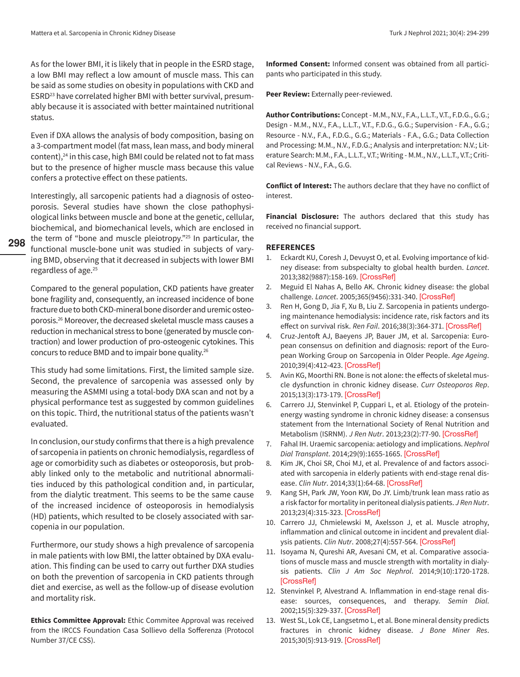As for the lower BMI, it is likely that in people in the ESRD stage, a low BMI may reflect a low amount of muscle mass. This can be said as some studies on obesity in populations with CKD and ESRD<sup>23</sup> have correlated higher BMI with better survival, presumably because it is associated with better maintained nutritional status.

Even if DXA allows the analysis of body composition, basing on a 3-compartment model (fat mass, lean mass, and body mineral content), $24$  in this case, high BMI could be related not to fat mass but to the presence of higher muscle mass because this value confers a protective effect on these patients.

Interestingly, all sarcopenic patients had a diagnosis of osteoporosis. Several studies have shown the close pathophysiological links between muscle and bone at the genetic, cellular, biochemical, and biomechanical levels, which are enclosed in the term of "bone and muscle pleiotropy."25 In particular, the functional muscle-bone unit was studied in subjects of varying BMD, observing that it decreased in subjects with lower BMI regardless of age.<sup>25</sup>

**298**

Compared to the general population, CKD patients have greater bone fragility and, consequently, an increased incidence of bone fracture due to both CKD-mineral bone disorder and uremic osteoporosis.26 Moreover, the decreased skeletal muscle mass causes a reduction in mechanical stress to bone (generated by muscle contraction) and lower production of pro-osteogenic cytokines. This concurs to reduce BMD and to impair bone quality.<sup>26</sup>

This study had some limitations. First, the limited sample size. Second, the prevalence of sarcopenia was assessed only by measuring the ASMMI using a total-body DXA scan and not by a physical performance test as suggested by common guidelines on this topic. Third, the nutritional status of the patients wasn't evaluated.

In conclusion, our study confirms that there is a high prevalence of sarcopenia in patients on chronic hemodialysis, regardless of age or comorbidity such as diabetes or osteoporosis, but probably linked only to the metabolic and nutritional abnormalities induced by this pathological condition and, in particular, from the dialytic treatment. This seems to be the same cause of the increased incidence of osteoporosis in hemodialysis (HD) patients, which resulted to be closely associated with sarcopenia in our population.

Furthermore, our study shows a high prevalence of sarcopenia in male patients with low BMI, the latter obtained by DXA evaluation. This finding can be used to carry out further DXA studies on both the prevention of sarcopenia in CKD patients through diet and exercise, as well as the follow-up of disease evolution and mortality risk.

**Ethics Committee Approval:** Ethic Commitee Approval was received from the IRCCS Foundation Casa Sollievo della Sofferenza (Protocol Number 37/CE CSS).

**Informed Consent:** Informed consent was obtained from all participants who participated in this study.

**Peer Review:** Externally peer-reviewed.

**Author Contributions:** Concept - M.M., N.V., F.A., L.L.T., V.T., F.D.G., G.G.; Design - M.M., N.V., F.A., L.L.T., V.T., F.D.G., G.G.; Supervision - F.A., G.G.; Resource - N.V., F.A., F.D.G., G.G.; Materials - F.A., G.G.; Data Collection and Processing: M.M., N.V., F.D.G.; Analysis and interpretation: N.V.; Literature Search: M.M., F.A., L.L.T., V.T.; Writing - M.M., N.V., L.L.T., V.T.; Critical Reviews - N.V., F.A., G.G.

**Conflict of Interest:** The authors declare that they have no conflict of interest.

**Financial Disclosure:** The authors declared that this study has received no financial support.

## **REFERENCES**

- 1. Eckardt KU, Coresh J, Devuyst O, et al. Evolving importance of kidney disease: from subspecialty to global health burden. *Lancet*. 2013;382(9887):158-169. [\[CrossRef\]](https://doi.org/10.1016/S0140-6736(13)60439-0)
- 2. Meguid El Nahas A, Bello AK. Chronic kidney disease: the global challenge. *Lancet*. 2005;365(9456):331-340. [\[CrossRef\]](https://doi.org/10.1016/S0140-6736(05)17789-7)
- 3. Ren H, Gong D, Jia F, Xu B, Liu Z. Sarcopenia in patients undergoing maintenance hemodialysis: incidence rate, risk factors and its effect on survival risk. *Ren Fail*. 2016;38(3):364-371. [\[CrossRef\]](https://doi.org/10.3109/0886022X.2015.1132173)
- 4. Cruz-Jentoft AJ, Baeyens JP, Bauer JM, et al. Sarcopenia: European consensus on definition and diagnosis: report of the European Working Group on Sarcopenia in Older People. *Age Ageing*. 2010;39(4):412-423. [\[CrossRef\]](https://doi.org/10.1093/ageing/afq034)
- 5. Avin KG, Moorthi RN. Bone is not alone: the effects of skeletal muscle dysfunction in chronic kidney disease. *Curr Osteoporos Rep*. 2015;13(3):173-179. [\[CrossRef\]](https://doi.org/10.1007/s11914-015-0261-4)
- 6. Carrero JJ, Stenvinkel P, Cuppari L, et al. Etiology of the proteinenergy wasting syndrome in chronic kidney disease: a consensus statement from the International Society of Renal Nutrition and Metabolism (ISRNM). *J Ren Nutr*. 2013;23(2):77-90. [\[CrossRef\]](https://doi.org/10.1053/j.jrn.2013.01.001)
- 7. Fahal IH. Uraemic sarcopenia: aetiology and implications. *Nephrol Dial Transplant*. 2014;29(9):1655-1665. [\[CrossRef\]](https://doi.org/10.1093/ndt/gft070)
- 8. Kim JK, Choi SR, Choi MJ, et al. Prevalence of and factors associated with sarcopenia in elderly patients with end-stage renal disease. *Clin Nutr*. 2014;33(1):64-68. [\[CrossRef\]](https://doi.org/10.1016/j.clnu.2013.04.002)
- 9. Kang SH, Park JW, Yoon KW, Do JY. Limb/trunk lean mass ratio as a risk factor for mortality in peritoneal dialysis patients. *J Ren Nutr*. 2013;23(4):315-323. [\[CrossRef\]](https://doi.org/10.1053/j.jrn.2012.09.004)
- 10. Carrero JJ, Chmielewski M, Axelsson J, et al. Muscle atrophy, inflammation and clinical outcome in incident and prevalent dialysis patients. *Clin Nutr*. 2008;27(4):557-564. [\[CrossRef\]](https://doi.org/10.1016/j.clnu.2008.04.007)
- 11. Isoyama N, Qureshi AR, Avesani CM, et al. Comparative associations of muscle mass and muscle strength with mortality in dialysis patients. *Clin J Am Soc Nephrol*. 2014;9(10):1720-1728. [\[CrossRef\]](https://doi.org/10.2215/CJN.10261013)
- 12. Stenvinkel P, Alvestrand A. Inflammation in end-stage renal disease: sources, consequences, and therapy. *Semin Dial*. 2002;15(5):329-337. [\[CrossRef\]](https://doi.org/10.1046/j.1525-139x.2002.00083.x)
- 13. West SL, Lok CE, Langsetmo L, et al. Bone mineral density predicts fractures in chronic kidney disease. *J Bone Miner Res*. 2015;30(5):913-919. [\[CrossRef\]](https://doi.org/10.1002/jbmr.2406)